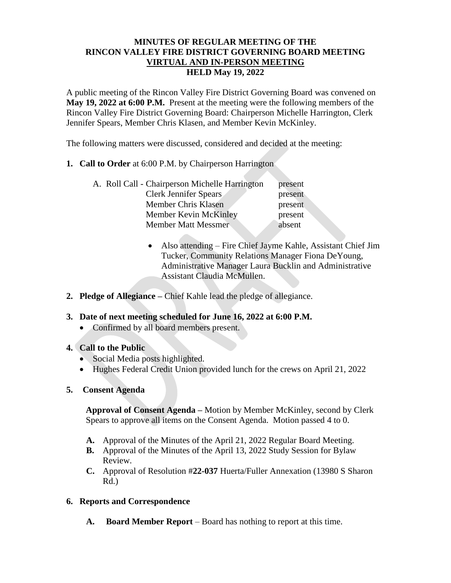#### **MINUTES OF REGULAR MEETING OF THE RINCON VALLEY FIRE DISTRICT GOVERNING BOARD MEETING VIRTUAL AND IN-PERSON MEETING HELD May 19, 2022**

A public meeting of the Rincon Valley Fire District Governing Board was convened on **May 19, 2022 at 6:00 P.M.** Present at the meeting were the following members of the Rincon Valley Fire District Governing Board: Chairperson Michelle Harrington, Clerk Jennifer Spears, Member Chris Klasen, and Member Kevin McKinley.

The following matters were discussed, considered and decided at the meeting:

**1. Call to Order** at 6:00 P.M. by Chairperson Harrington

| A. Roll Call - Chairperson Michelle Harrington | present |
|------------------------------------------------|---------|
| Clerk Jennifer Spears                          | present |
| Member Chris Klasen                            | present |
| Member Kevin McKinley                          | present |
| <b>Member Matt Messmer</b>                     | absent  |

- Also attending Fire Chief Jayme Kahle, Assistant Chief Jim Tucker, Community Relations Manager Fiona DeYoung, Administrative Manager Laura Bucklin and Administrative Assistant Claudia McMullen.
- **2. Pledge of Allegiance –** Chief Kahle lead the pledge of allegiance.

# **3. Date of next meeting scheduled for June 16, 2022 at 6:00 P.M.**

- Confirmed by all board members present.
- **4. Call to the Public** 
	- Social Media posts highlighted.
	- Hughes Federal Credit Union provided lunch for the crews on April 21, 2022
- **5. Consent Agenda**

**Approval of Consent Agenda –** Motion by Member McKinley, second by Clerk Spears to approve all items on the Consent Agenda. Motion passed 4 to 0.

- **A.** Approval of the Minutes of the April 21, 2022 Regular Board Meeting.
- **B.** Approval of the Minutes of the April 13, 2022 Study Session for Bylaw Review.
- **C.** Approval of Resolution #**22-037** Huerta/Fuller Annexation (13980 S Sharon Rd.)

# **6. Reports and Correspondence**

**A. Board Member Report** – Board has nothing to report at this time.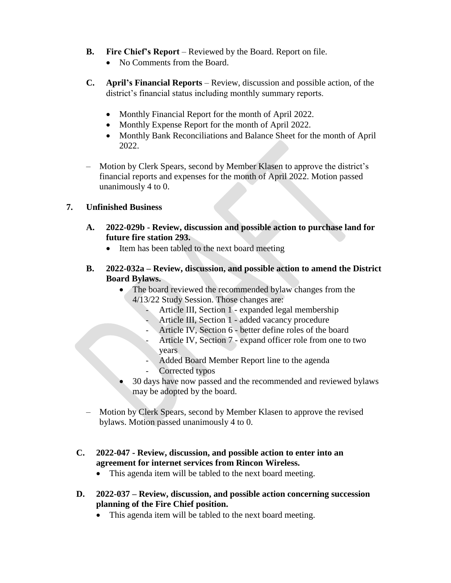- **B. Fire Chief's Report** Reviewed by the Board. Report on file.
	- No Comments from the Board.
- **C. April's Financial Reports** Review, discussion and possible action, of the district's financial status including monthly summary reports.
	- Monthly Financial Report for the month of April 2022.
	- Monthly Expense Report for the month of April 2022.
	- Monthly Bank Reconciliations and Balance Sheet for the month of April 2022.
- Motion by Clerk Spears, second by Member Klasen to approve the district's financial reports and expenses for the month of April 2022. Motion passed unanimously 4 to 0.

# **7. Unfinished Business**

- **A. 2022-029b - Review, discussion and possible action to purchase land for future fire station 293.**
	- Item has been tabled to the next board meeting
- **B. 2022-032a – Review, discussion, and possible action to amend the District Board Bylaws.**
	- The board reviewed the recommended bylaw changes from the 4/13/22 Study Session. Those changes are:
		- Article III, Section 1 expanded legal membership
		- Article III, Section 1 added vacancy procedure
		- Article IV, Section 6 better define roles of the board
		- Article IV, Section 7 expand officer role from one to two years
		- Added Board Member Report line to the agenda
		- Corrected typos
	- 30 days have now passed and the recommended and reviewed bylaws may be adopted by the board.
- Motion by Clerk Spears, second by Member Klasen to approve the revised bylaws. Motion passed unanimously 4 to 0.
- **C. 2022-047 - Review, discussion, and possible action to enter into an agreement for internet services from Rincon Wireless.**
	- This agenda item will be tabled to the next board meeting.
- **D. 2022-037 – Review, discussion, and possible action concerning succession planning of the Fire Chief position.**
	- This agenda item will be tabled to the next board meeting.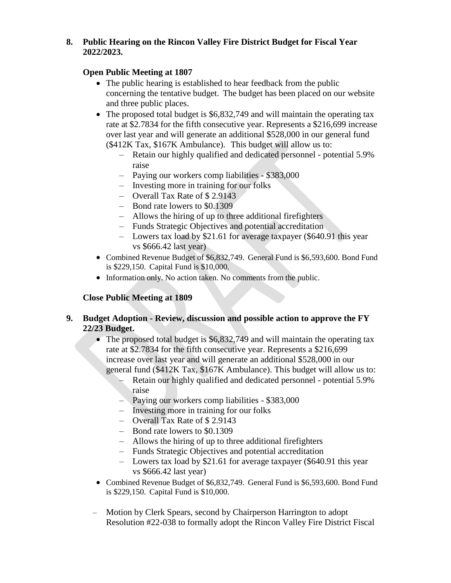### **8. Public Hearing on the Rincon Valley Fire District Budget for Fiscal Year 2022/2023.**

### **Open Public Meeting at 1807**

- The public hearing is established to hear feedback from the public concerning the tentative budget. The budget has been placed on our website and three public places.
- The proposed total budget is \$6,832,749 and will maintain the operating tax rate at \$2.7834 for the fifth consecutive year. Represents a \$216,699 increase over last year and will generate an additional \$528,000 in our general fund (\$412K Tax, \$167K Ambulance). This budget will allow us to:
	- Retain our highly qualified and dedicated personnel potential 5.9% raise
	- Paying our workers comp liabilities \$383,000
	- Investing more in training for our folks
	- Overall Tax Rate of \$ 2.9143
	- Bond rate lowers to \$0.1309
	- Allows the hiring of up to three additional firefighters
	- Funds Strategic Objectives and potential accreditation
	- Lowers tax load by \$21.61 for average taxpayer (\$640.91 this year vs \$666.42 last year)
- Combined Revenue Budget of \$6,832,749. General Fund is \$6,593,600. Bond Fund is \$229,150. Capital Fund is \$10,000.
- Information only. No action taken. No comments from the public.

# **Close Public Meeting at 1809**

#### **9. Budget Adoption - Review, discussion and possible action to approve the FY 22/23 Budget.**

- The proposed total budget is \$6,832,749 and will maintain the operating tax rate at \$2.7834 for the fifth consecutive year. Represents a \$216,699 increase over last year and will generate an additional \$528,000 in our general fund (\$412K Tax, \$167K Ambulance). This budget will allow us to:
	- Retain our highly qualified and dedicated personnel potential 5.9% raise
	- Paying our workers comp liabilities \$383,000
	- Investing more in training for our folks
	- Overall Tax Rate of \$ 2.9143
	- Bond rate lowers to \$0.1309
	- Allows the hiring of up to three additional firefighters
	- Funds Strategic Objectives and potential accreditation
	- Lowers tax load by \$21.61 for average taxpayer (\$640.91 this year vs \$666.42 last year)
- Combined Revenue Budget of \$6,832,749. General Fund is \$6,593,600. Bond Fund is \$229,150. Capital Fund is \$10,000.
- Motion by Clerk Spears, second by Chairperson Harrington to adopt Resolution #22-038 to formally adopt the Rincon Valley Fire District Fiscal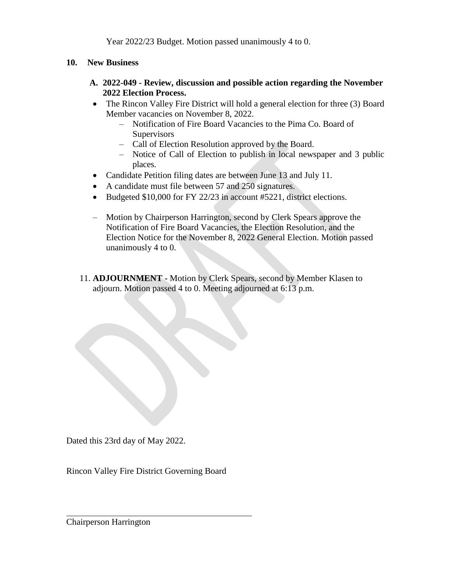Year 2022/23 Budget. Motion passed unanimously 4 to 0.

- **10. New Business**
	- **A. 2022-049 - Review, discussion and possible action regarding the November 2022 Election Process.**
	- The Rincon Valley Fire District will hold a general election for three (3) Board Member vacancies on November 8, 2022.
		- Notification of Fire Board Vacancies to the Pima Co. Board of **Supervisors**
		- Call of Election Resolution approved by the Board.
		- Notice of Call of Election to publish in local newspaper and 3 public places.
	- Candidate Petition filing dates are between June 13 and July 11.
	- A candidate must file between 57 and 250 signatures.
	- Budgeted \$10,000 for FY 22/23 in account #5221, district elections.
	- Motion by Chairperson Harrington, second by Clerk Spears approve the Notification of Fire Board Vacancies, the Election Resolution, and the Election Notice for the November 8, 2022 General Election. Motion passed unanimously 4 to 0.
	- 11. **ADJOURNMENT -** Motion by Clerk Spears, second by Member Klasen to adjourn. Motion passed 4 to 0. Meeting adjourned at 6:13 p.m.

Dated this 23rd day of May 2022.

Rincon Valley Fire District Governing Board

Chairperson Harrington